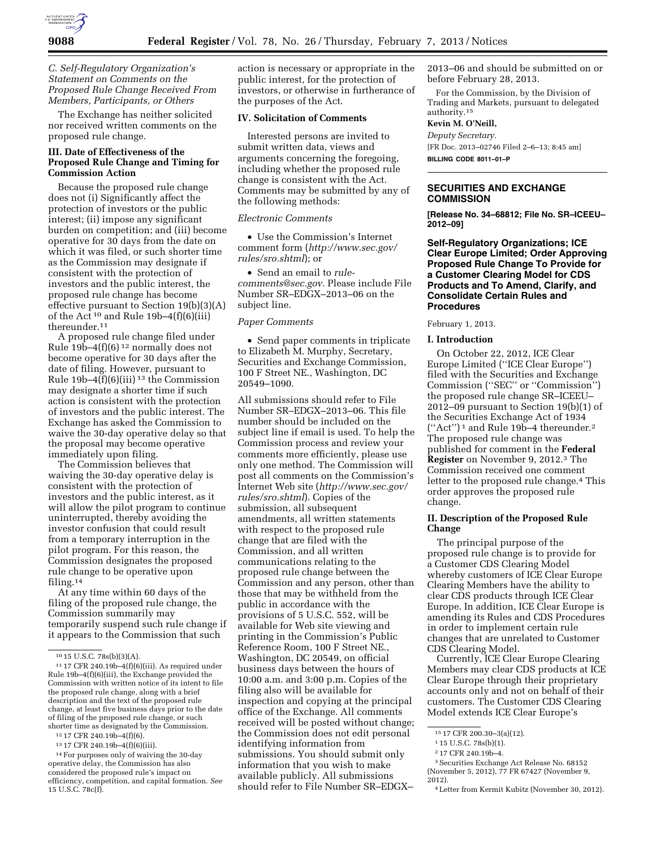

*C. Self-Regulatory Organization's Statement on Comments on the Proposed Rule Change Received From Members, Participants, or Others* 

The Exchange has neither solicited nor received written comments on the proposed rule change.

## **III. Date of Effectiveness of the Proposed Rule Change and Timing for Commission Action**

Because the proposed rule change does not (i) Significantly affect the protection of investors or the public interest; (ii) impose any significant burden on competition; and (iii) become operative for 30 days from the date on which it was filed, or such shorter time as the Commission may designate if consistent with the protection of investors and the public interest, the proposed rule change has become effective pursuant to Section 19(b)(3)(A) of the Act<sup>10</sup> and Rule 19b-4(f)(6)(iii) thereunder.11

A proposed rule change filed under Rule  $19b-4(f)(6)^{12}$  normally does not become operative for 30 days after the date of filing. However, pursuant to Rule 19b-4 $\tilde{f}$ )(6)(iii)<sup>13</sup> the Commission may designate a shorter time if such action is consistent with the protection of investors and the public interest. The Exchange has asked the Commission to waive the 30-day operative delay so that the proposal may become operative immediately upon filing.

The Commission believes that waiving the 30-day operative delay is consistent with the protection of investors and the public interest, as it will allow the pilot program to continue uninterrupted, thereby avoiding the investor confusion that could result from a temporary interruption in the pilot program. For this reason, the Commission designates the proposed rule change to be operative upon filing.14

At any time within 60 days of the filing of the proposed rule change, the Commission summarily may temporarily suspend such rule change if it appears to the Commission that such

action is necessary or appropriate in the public interest, for the protection of investors, or otherwise in furtherance of the purposes of the Act.

### **IV. Solicitation of Comments**

Interested persons are invited to submit written data, views and arguments concerning the foregoing, including whether the proposed rule change is consistent with the Act. Comments may be submitted by any of the following methods:

## *Electronic Comments*

• Use the Commission's Internet comment form (*[http://www.sec.gov/](http://www.sec.gov/rules/sro.shtml)  [rules/sro.shtml](http://www.sec.gov/rules/sro.shtml)*); or

• Send an email to *[rule](mailto:rule-comments@sec.gov)[comments@sec.gov.](mailto:rule-comments@sec.gov)* Please include File Number SR–EDGX–2013–06 on the subject line.

### *Paper Comments*

• Send paper comments in triplicate to Elizabeth M. Murphy, Secretary, Securities and Exchange Commission, 100 F Street NE., Washington, DC 20549–1090.

All submissions should refer to File Number SR–EDGX–2013–06. This file number should be included on the subject line if email is used. To help the Commission process and review your comments more efficiently, please use only one method. The Commission will post all comments on the Commission's Internet Web site (*[http://www.sec.gov/](http://www.sec.gov/rules/sro.shtml)  [rules/sro.shtml](http://www.sec.gov/rules/sro.shtml)*). Copies of the submission, all subsequent amendments, all written statements with respect to the proposed rule change that are filed with the Commission, and all written communications relating to the proposed rule change between the Commission and any person, other than those that may be withheld from the public in accordance with the provisions of 5 U.S.C. 552, will be available for Web site viewing and printing in the Commission's Public Reference Room, 100 F Street NE., Washington, DC 20549, on official business days between the hours of 10:00 a.m. and 3:00 p.m. Copies of the filing also will be available for inspection and copying at the principal office of the Exchange. All comments received will be posted without change; the Commission does not edit personal identifying information from submissions. You should submit only information that you wish to make available publicly. All submissions should refer to File Number SR–EDGX–

2013–06 and should be submitted on or before February 28, 2013.

For the Commission, by the Division of Trading and Markets, pursuant to delegated authority.15

# **Kevin M. O'Neill,**

*Deputy Secretary.*  [FR Doc. 2013–02746 Filed 2–6–13; 8:45 am] **BILLING CODE 8011–01–P** 

## **SECURITIES AND EXCHANGE COMMISSION**

**[Release No. 34–68812; File No. SR–ICEEU– 2012–09]** 

**Self-Regulatory Organizations; ICE Clear Europe Limited; Order Approving Proposed Rule Change To Provide for a Customer Clearing Model for CDS Products and To Amend, Clarify, and Consolidate Certain Rules and Procedures** 

February 1, 2013.

### **I. Introduction**

On October 22, 2012, ICE Clear Europe Limited (''ICE Clear Europe'') filed with the Securities and Exchange Commission (''SEC'' or ''Commission'') the proposed rule change SR–ICEEU– 2012–09 pursuant to Section 19(b)(1) of the Securities Exchange Act of 1934  $("Act")^1$  and Rule 19b-4 thereunder.<sup>2</sup> The proposed rule change was published for comment in the **Federal Register** on November 9, 2012.3 The Commission received one comment letter to the proposed rule change.4 This order approves the proposed rule change.

## **II. Description of the Proposed Rule Change**

The principal purpose of the proposed rule change is to provide for a Customer CDS Clearing Model whereby customers of ICE Clear Europe Clearing Members have the ability to clear CDS products through ICE Clear Europe. In addition, ICE Clear Europe is amending its Rules and CDS Procedures in order to implement certain rule changes that are unrelated to Customer CDS Clearing Model.

Currently, ICE Clear Europe Clearing Members may clear CDS products at ICE Clear Europe through their proprietary accounts only and not on behalf of their customers. The Customer CDS Clearing Model extends ICE Clear Europe's

<sup>10</sup> 15 U.S.C. 78s(b)(3)(A).

 $^{\rm 11}$  17 CFR 240.19b–4(f)(6)(iii). As required under Rule 19b–4(f)(6)(iii), the Exchange provided the Commission with written notice of its intent to file the proposed rule change, along with a brief description and the text of the proposed rule change, at least five business days prior to the date of filing of the proposed rule change, or such shorter time as designated by the Commission.

<sup>12</sup> 17 CFR 240.19b–4(f)(6).

<sup>13</sup> 17 CFR 240.19b–4(f)(6)(iii).

<sup>14</sup>For purposes only of waiving the 30-day operative delay, the Commission has also considered the proposed rule's impact on efficiency, competition, and capital formation. *See*  15 U.S.C. 78c(f).

<sup>15</sup> 17 CFR 200.30–3(a)(12).

<sup>1</sup> 15 U.S.C. 78s(b)(1).

<sup>2</sup> 17 CFR 240.19b–4.

<sup>3</sup>Securities Exchange Act Release No. 68152 (November 5, 2012), 77 FR 67427 (November 9, 2012).

<sup>4</sup>Letter from Kermit Kubitz (November 30, 2012).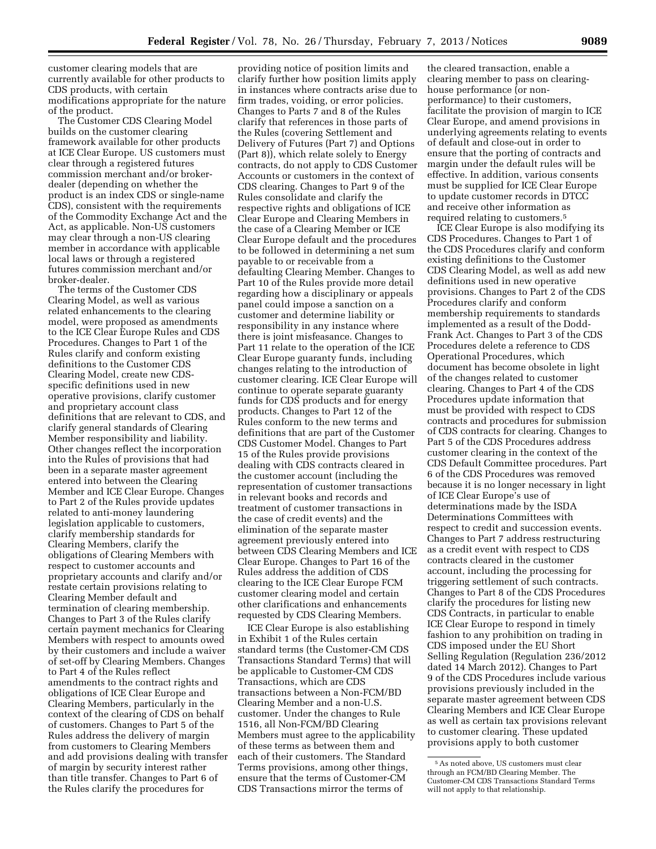customer clearing models that are currently available for other products to CDS products, with certain modifications appropriate for the nature of the product.

The Customer CDS Clearing Model builds on the customer clearing framework available for other products at ICE Clear Europe. US customers must clear through a registered futures commission merchant and/or brokerdealer (depending on whether the product is an index CDS or single-name CDS), consistent with the requirements of the Commodity Exchange Act and the Act, as applicable. Non-US customers may clear through a non-US clearing member in accordance with applicable local laws or through a registered futures commission merchant and/or broker-dealer.

The terms of the Customer CDS Clearing Model, as well as various related enhancements to the clearing model, were proposed as amendments to the ICE Clear Europe Rules and CDS Procedures. Changes to Part 1 of the Rules clarify and conform existing definitions to the Customer CDS Clearing Model, create new CDSspecific definitions used in new operative provisions, clarify customer and proprietary account class definitions that are relevant to CDS, and clarify general standards of Clearing Member responsibility and liability. Other changes reflect the incorporation into the Rules of provisions that had been in a separate master agreement entered into between the Clearing Member and ICE Clear Europe. Changes to Part 2 of the Rules provide updates related to anti-money laundering legislation applicable to customers, clarify membership standards for Clearing Members, clarify the obligations of Clearing Members with respect to customer accounts and proprietary accounts and clarify and/or restate certain provisions relating to Clearing Member default and termination of clearing membership. Changes to Part 3 of the Rules clarify certain payment mechanics for Clearing Members with respect to amounts owed by their customers and include a waiver of set-off by Clearing Members. Changes to Part 4 of the Rules reflect amendments to the contract rights and obligations of ICE Clear Europe and Clearing Members, particularly in the context of the clearing of CDS on behalf of customers. Changes to Part 5 of the Rules address the delivery of margin from customers to Clearing Members and add provisions dealing with transfer of margin by security interest rather than title transfer. Changes to Part 6 of the Rules clarify the procedures for

providing notice of position limits and clarify further how position limits apply in instances where contracts arise due to firm trades, voiding, or error policies. Changes to Parts 7 and 8 of the Rules clarify that references in those parts of the Rules (covering Settlement and Delivery of Futures (Part 7) and Options (Part 8)), which relate solely to Energy contracts, do not apply to CDS Customer Accounts or customers in the context of CDS clearing. Changes to Part 9 of the Rules consolidate and clarify the respective rights and obligations of ICE Clear Europe and Clearing Members in the case of a Clearing Member or ICE Clear Europe default and the procedures to be followed in determining a net sum payable to or receivable from a defaulting Clearing Member. Changes to Part 10 of the Rules provide more detail regarding how a disciplinary or appeals panel could impose a sanction on a customer and determine liability or responsibility in any instance where there is joint misfeasance. Changes to Part 11 relate to the operation of the ICE Clear Europe guaranty funds, including changes relating to the introduction of customer clearing. ICE Clear Europe will continue to operate separate guaranty funds for CDS products and for energy products. Changes to Part 12 of the Rules conform to the new terms and definitions that are part of the Customer CDS Customer Model. Changes to Part 15 of the Rules provide provisions dealing with CDS contracts cleared in the customer account (including the representation of customer transactions in relevant books and records and treatment of customer transactions in the case of credit events) and the elimination of the separate master agreement previously entered into between CDS Clearing Members and ICE Clear Europe. Changes to Part 16 of the Rules address the addition of CDS clearing to the ICE Clear Europe FCM customer clearing model and certain other clarifications and enhancements requested by CDS Clearing Members.

ICE Clear Europe is also establishing in Exhibit 1 of the Rules certain standard terms (the Customer-CM CDS Transactions Standard Terms) that will be applicable to Customer-CM CDS Transactions, which are CDS transactions between a Non-FCM/BD Clearing Member and a non-U.S. customer. Under the changes to Rule 1516, all Non-FCM/BD Clearing Members must agree to the applicability of these terms as between them and each of their customers. The Standard Terms provisions, among other things, ensure that the terms of Customer-CM CDS Transactions mirror the terms of

the cleared transaction, enable a clearing member to pass on clearinghouse performance (or nonperformance) to their customers, facilitate the provision of margin to ICE Clear Europe, and amend provisions in underlying agreements relating to events of default and close-out in order to ensure that the porting of contracts and margin under the default rules will be effective. In addition, various consents must be supplied for ICE Clear Europe to update customer records in DTCC and receive other information as required relating to customers.5

ICE Clear Europe is also modifying its CDS Procedures. Changes to Part 1 of the CDS Procedures clarify and conform existing definitions to the Customer CDS Clearing Model, as well as add new definitions used in new operative provisions. Changes to Part 2 of the CDS Procedures clarify and conform membership requirements to standards implemented as a result of the Dodd-Frank Act. Changes to Part 3 of the CDS Procedures delete a reference to CDS Operational Procedures, which document has become obsolete in light of the changes related to customer clearing. Changes to Part 4 of the CDS Procedures update information that must be provided with respect to CDS contracts and procedures for submission of CDS contracts for clearing. Changes to Part 5 of the CDS Procedures address customer clearing in the context of the CDS Default Committee procedures. Part 6 of the CDS Procedures was removed because it is no longer necessary in light of ICE Clear Europe's use of determinations made by the ISDA Determinations Committees with respect to credit and succession events. Changes to Part 7 address restructuring as a credit event with respect to CDS contracts cleared in the customer account, including the processing for triggering settlement of such contracts. Changes to Part 8 of the CDS Procedures clarify the procedures for listing new CDS Contracts, in particular to enable ICE Clear Europe to respond in timely fashion to any prohibition on trading in CDS imposed under the EU Short Selling Regulation (Regulation 236/2012 dated 14 March 2012). Changes to Part 9 of the CDS Procedures include various provisions previously included in the separate master agreement between CDS Clearing Members and ICE Clear Europe as well as certain tax provisions relevant to customer clearing. These updated provisions apply to both customer

<sup>5</sup>As noted above, US customers must clear through an FCM/BD Clearing Member. The Customer-CM CDS Transactions Standard Terms will not apply to that relationship.